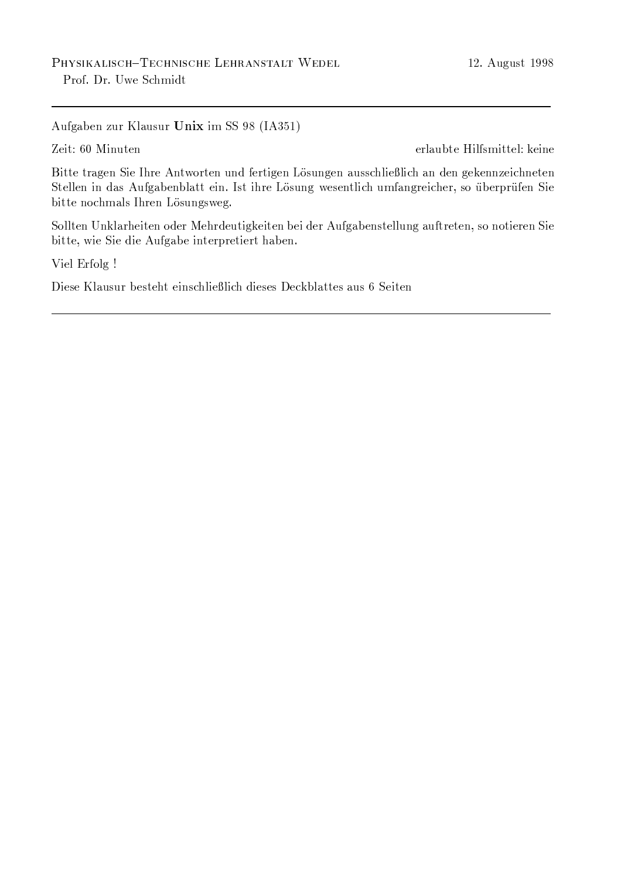Aufgaben zur Klausur Unix im SS 98 (IA351)

Zeit: 60 Minuten

erlaubte Hilfsmittel: keine

Bitte tragen Sie Ihre Antworten und fertigen Lösungen ausschließlich an den gekennzeichneten Stellen in das Aufgabenblatt ein. Ist ihre Lösung wesentlich umfangreicher, so überprüfen Sie bitte nochmals Ihren Lösungsweg.

Sollten Unklarheiten oder Mehrdeutigkeiten bei der Aufgabenstellung auftreten, so notieren Sie bitte, wie Sie die Aufgabe interpretiert haben.

Viel Erfolg !

Diese Klausur besteht einschließlich dieses Deckblattes aus 6 Seiten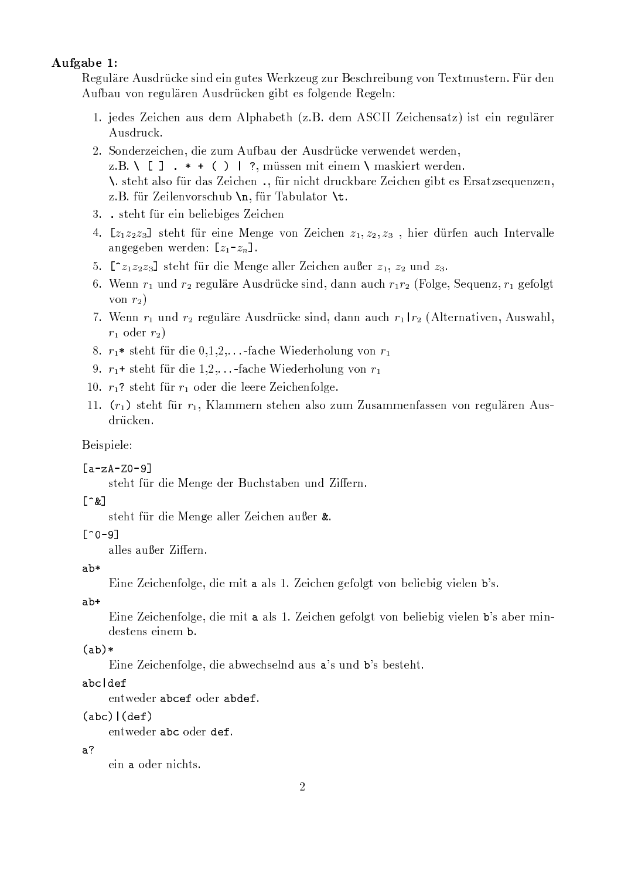### Aufgabe 1:

Reguläre Ausdrücke sind ein gutes Werkzeug zur Beschreibung von Textmustern. Für den Aufbau von regulären Ausdrücken gibt es folgende Regeln:

- 1. jedes Zeichen aus dem Alphabeth (z.B. dem ASCII Zeichensatz) ist ein regulärer Ausdruck.
- 2. Sonderzeichen, die zum Aufbau der Ausdrücke verwendet werden, z.B. \[].  $*$  + () | ?, müssen mit einem \ maskiert werden. \ steht also für das Zeichen ., für nicht druckbare Zeichen gibt es Ersatzsequenzen, z.B. für Zeilenvorschub \n, für Tabulator \t.
- 3. steht für ein beliebiges Zeichen
- 4.  $[z_1z_2z_3]$  steht für eine Menge von Zeichen  $z_1, z_2, z_3$ , hier dürfen auch Intervalle angegeben werden:  $[z_1-z_n]$ .
- 5.  $[z_1z_1z_2z_3]$  steht für die Menge aller Zeichen außer  $z_1, z_2$  und  $z_3$ .
- 6. Wenn  $r_1$  und  $r_2$  reguläre Ausdrücke sind, dann auch  $r_1r_2$  (Folge, Sequenz,  $r_1$  gefolgt von  $r_2$ )
- 7. Wenn  $r_1$  und  $r_2$  reguläre Ausdrücke sind, dann auch  $r_1 | r_2$  (Alternativen, Auswahl,  $r_1$  oder  $r_2$ )
- 8.  $r_1$ \* steht für die 0,1,2,...-fache Wiederholung von  $r_1$
- 9.  $r_1$ + steht für die 1,2,...-fache Wiederholung von  $r_1$
- 10.  $r_1$ ? steht für  $r_1$  oder die leere Zeichenfolge.
- 11.  $(r_1)$  steht für  $r_1$ , Klammern stehen also zum Zusammenfassen von regulären Ausdrücken.

### Beispiele:

### $[a-zA-ZO-9]$

steht für die Menge der Buchstaben und Ziffern.

### $[\hat{z}]$

steht für die Menge aller Zeichen außer &.

### $\lceil 0 - 9 \rceil$

alles außer Ziffern.

### $ab*$

Eine Zeichenfolge, die mit a als 1. Zeichen gefolgt von beliebig vielen b's.

### $ab+$

Eine Zeichenfolge, die mit a als 1. Zeichen gefolgt von beliebig vielen b's aber mindestens einem b.

### $(ab)$

Eine Zeichenfolge, die abwechselnd aus a's und b's besteht.

### abcldef

entweder abcef oder abdef.

### $(abc)$   $(def)$

entweder abc oder def.

### $a$ ?

ein a oder nichts.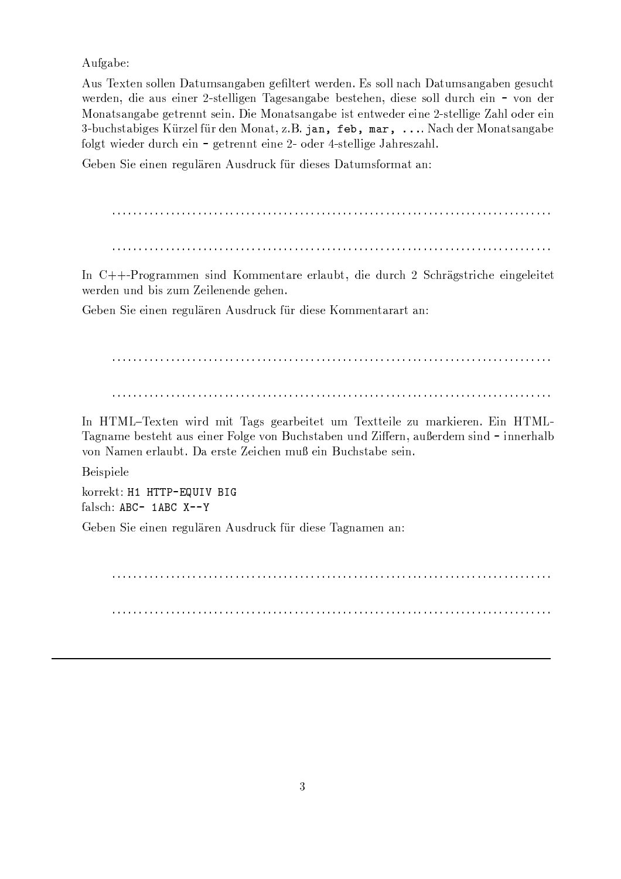Aufgabe:

Aus Texten sollen Datumsangaben gefiltert werden. Es soll nach Datumsangaben gesucht werden, die aus einer 2-stelligen Tagesangabe bestehen, diese soll durch ein – von der Monatsangabe getrennt sein. Die Monatsangabe ist entweder eine 2-stellige Zahl oder ein c\aO-\*0EF/b1GMO-I\,6A/S\*-8=QAT.; { \*-8K AP3km9.PM1QN( { tU(-!a;:-xewona )9)9)(UM.EGFKA8km96PM<1 /:MP-,NMOA folgt wieder durch ein – getrennt eine 2- oder 4-stellige Jahreszahl.

 $A$  and  $A$  are all the set of the set of the set of the set of the set of the set of the set of the set of the set of the set of the set of the set of the set of the set of the set of the set of the set of the set of the

In  $C_{\pm}$ +-Programmen sind Kommentare erlaubt, die durch 2 Schrägstriche eingeleite @BA8GKAhP \*oPK O-I~/uQ\*-H fAI\TnAP-AP0KAU,.AhF-AP(

 $A$  and  $A$  are all the set of the set of the set of the set of the set of the set of the set of the set of the set of the set of the set of the set of the set of the set of the set of the set of the set of the set of the

`aP p[kyA1=AP @I\8K HJIn1SM<,v/m,.AM8:OAIn1:A1z\*-H A 1:1=AI\TnA[Q\* HRM8:s I\A8=AP(BInP p[ky!\ M<,6PM<HJAWOA/21:AhF1BM<\*0/ AInP-A8u-9.T\,6A"N96PJtu\*0EF/b1GMOAhPJ\*-PKJfImiA8=P M<\*-}6A8GKAhH /2I\P0K\_MI\P-PoA8:FMT\O von Namen erlaubt. Da erste Zeichen muß ein Buchstabe sein.

### Beispiele

korrekt: H1 HTTP-EQUIV BIG  $\overline{\phantom{a}}$  ,  $\overline{\phantom{a}}$ 

 $A$  and  $A$  are a set of  $A$  and  $A$  and  $A$  and  $A$  and  $A$  and  $A$  and  $A$  and  $A$  and  $A$  and  $A$  and  $A$  and  $A$  and  $A$  and  $A$  and  $A$  and  $A$  and  $A$  and  $A$  and  $A$  and  $A$  and  $A$  and  $A$  and  $A$  and  $A$  and  $A$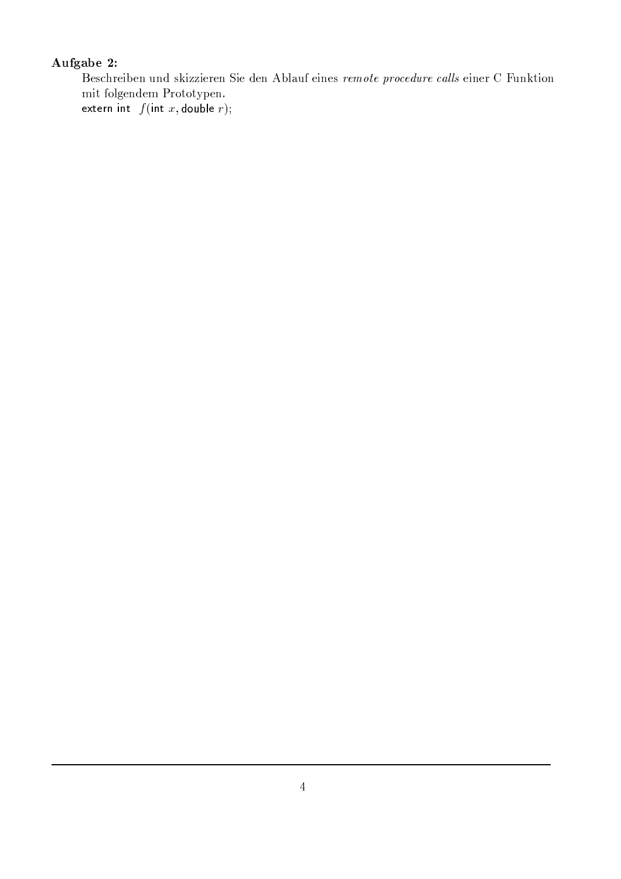# Aufgabe 2:

Beschreiben und skizzieren Sie den Ablauf eines remote procedure calls einer C Funktion  $\operatorname{mit}$  folgendem Prototypen.

extern int  $f(int x, double r);$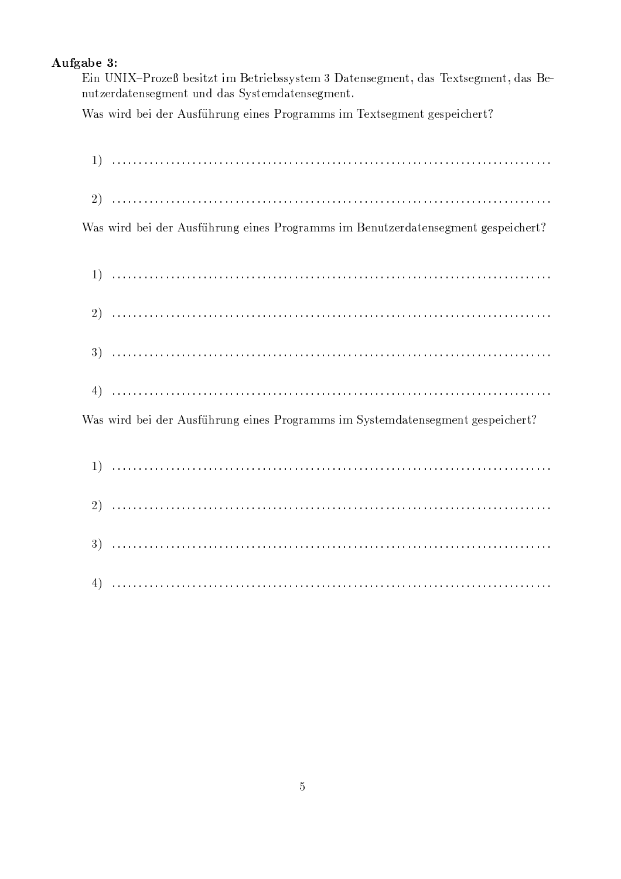## Aufgabe 3:

Ein UNIX-Prozeß besitzt im Betriebssystem 3 Datensegment, das Textsegment, das Benutzerdatensegment und das Systemdatensegment.

Was wird bei der Ausführung eines Programms im Textsegment gespeichert?

| Was wird bei der Ausführung eines Programms im Benutzerdatensegment gespeichert? |
|----------------------------------------------------------------------------------|
|                                                                                  |
|                                                                                  |
|                                                                                  |
|                                                                                  |
| Was wird bei der Ausführung eines Programms im Systemdatensegment gespeichert?   |
|                                                                                  |
|                                                                                  |
|                                                                                  |
|                                                                                  |